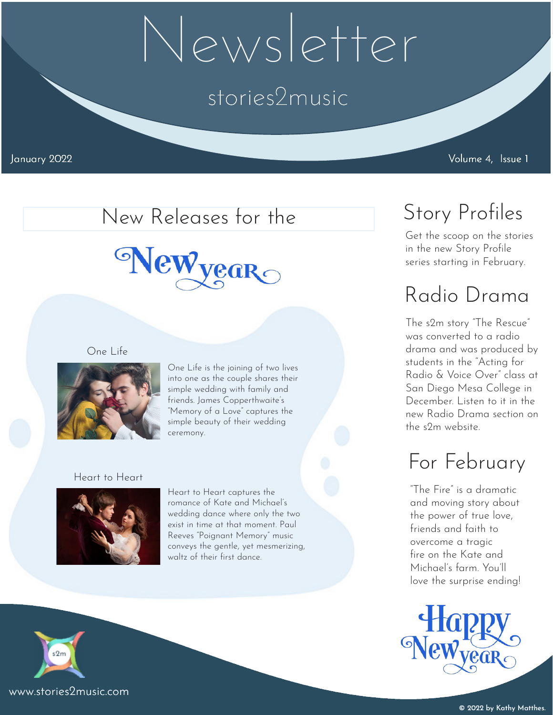# Newsletter

### stories2music

January 2022 Volume 4, Issue 1

#### New Releases for the

## Newyear

#### One Life



One Life is the joining of two lives into one as the couple shares their simple wedding with family and friends. James Copperthwaite's "Memory of a Love" captures the simple beauty of their wedding ceremony.

#### Heart to Heart



Heart to Heart captures the romance of Kate and Michael's wedding dance where only the two exist in time at that moment. Paul Reeves "Poignant Memory" music conveys the gentle, yet mesmerizing, waltz of their first dance.



#### www.stories2music.com

### Story Profiles

Get the scoop on the stories in the new Story Profile series starting in February.

### Radio Drama

The s2m story "The Rescue" was converted to a radio drama and was produced by students in the "Acting for Radio & Voice Over" class at San Diego Mesa College in December. Listen to it in the new Radio Drama section on the s2m website.

### For February

"The Fire" is a dramatic and moving story about the power of true love, friends and faith to overcome a tragic fire on the Kate and Michael's farm. You'll love the surprise ending!

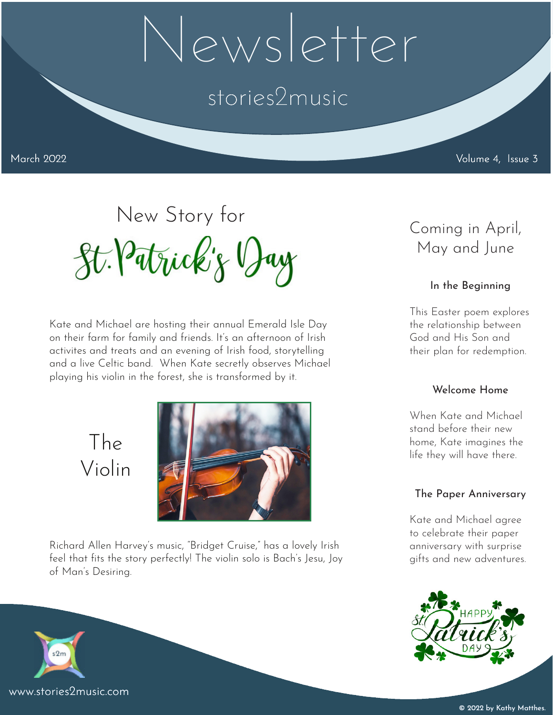# Newsletter

### stories2music

March 2022 Volume 4, Issue 3

# New Story for<br>St. Patrick's Day<br>May and June<br>May and June

Kate and Michael are hosting their annual Emerald Isle Day on their farm for family and friends. It's an afternoon of Irish activites and treats and an evening of Irish food, storytelling and a live Celtic band. When Kate secretly observes Michael playing his violin in the forest, she is transformed by it.

> The Violin



Richard Allen Harvey's music, "Bridget Cruise," has a lovely Irish feel that fits the story perfectly! The violin solo is Bach's Jesu, Joy of Man's Desiring.

### May and June

#### In the Beginning

This Easter poem explores the relationship between God and His Son and their plan for redemption.

#### Welcome Home

When Kate and Michael stand before their new home, Kate imagines the life they will have there.

#### The Paper Anniversary

Kate and Michael agree to celebrate their paper anniversary with surprise gifts and new adventures.



www.stories2music.com

 $s2m$ 

© 2022 by Kathy Matthes.